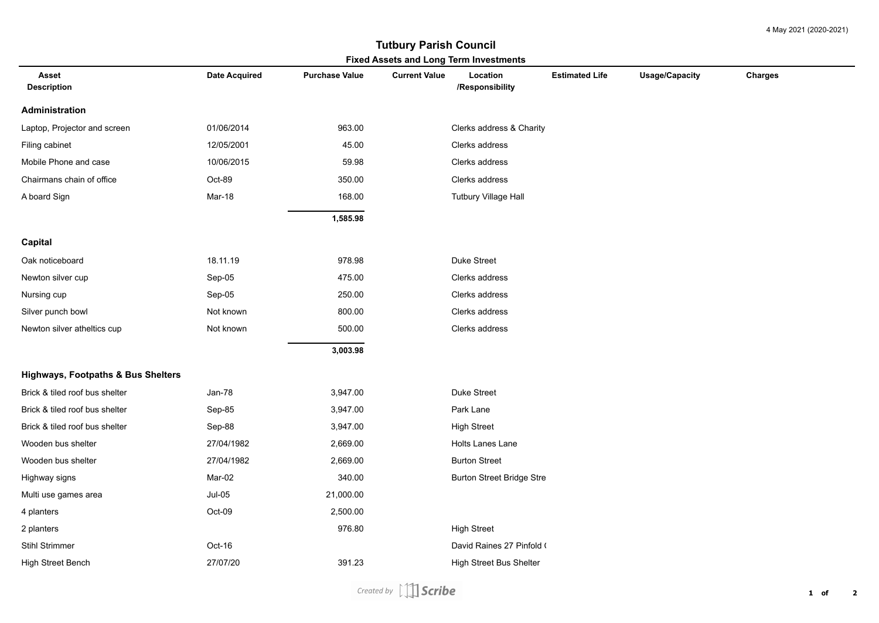4 May 2021 (2020-2021)

## **Fixed Assets and Long Term Investments Tutbury Parish Council**

| <b>Asset</b><br><b>Description</b>            | Date Acquired | <b>Purchase Value</b> | <b>Current Value</b> | Location<br>/Responsibility      | <b>Estimated Life</b> | <b>Usage/Capacity</b> | Charges |
|-----------------------------------------------|---------------|-----------------------|----------------------|----------------------------------|-----------------------|-----------------------|---------|
| <b>Administration</b>                         |               |                       |                      |                                  |                       |                       |         |
| Laptop, Projector and screen                  | 01/06/2014    | 963.00                |                      | Clerks address & Charity         |                       |                       |         |
| Filing cabinet                                | 12/05/2001    | 45.00                 |                      | Clerks address                   |                       |                       |         |
| Mobile Phone and case                         | 10/06/2015    | 59.98                 |                      | Clerks address                   |                       |                       |         |
| Chairmans chain of office                     | Oct-89        | 350.00                |                      | Clerks address                   |                       |                       |         |
| A board Sign                                  | Mar-18        | 168.00                |                      | Tutbury Village Hall             |                       |                       |         |
|                                               |               | 1,585.98              |                      |                                  |                       |                       |         |
| <b>Capital</b>                                |               |                       |                      |                                  |                       |                       |         |
| Oak noticeboard                               | 18.11.19      | 978.98                |                      | Duke Street                      |                       |                       |         |
| Newton silver cup                             | Sep-05        | 475.00                |                      | Clerks address                   |                       |                       |         |
| Nursing cup                                   | Sep-05        | 250.00                |                      | Clerks address                   |                       |                       |         |
| Silver punch bowl                             | Not known     | 800.00                |                      | Clerks address                   |                       |                       |         |
| Newton silver atheltics cup                   | Not known     | 500.00                |                      | Clerks address                   |                       |                       |         |
|                                               |               | 3,003.98              |                      |                                  |                       |                       |         |
| <b>Highways, Footpaths &amp; Bus Shelters</b> |               |                       |                      |                                  |                       |                       |         |
| Brick & tiled roof bus shelter                | Jan-78        | 3,947.00              |                      | Duke Street                      |                       |                       |         |
| Brick & tiled roof bus shelter                | Sep-85        | 3,947.00              |                      | Park Lane                        |                       |                       |         |
| Brick & tiled roof bus shelter                | Sep-88        | 3,947.00              |                      | <b>High Street</b>               |                       |                       |         |
| Wooden bus shelter                            | 27/04/1982    | 2,669.00              |                      | <b>Holts Lanes Lane</b>          |                       |                       |         |
| Wooden bus shelter                            | 27/04/1982    | 2,669.00              |                      | <b>Burton Street</b>             |                       |                       |         |
| Highway signs                                 | Mar-02        | 340.00                |                      | <b>Burton Street Bridge Stre</b> |                       |                       |         |
| Multi use games area                          | $Jul-05$      | 21,000.00             |                      |                                  |                       |                       |         |
| 4 planters                                    | Oct-09        | 2,500.00              |                      |                                  |                       |                       |         |
| 2 planters                                    |               | 976.80                |                      | <b>High Street</b>               |                       |                       |         |
| <b>Stihl Strimmer</b>                         | Oct-16        |                       |                      | David Raines 27 Pinfold (        |                       |                       |         |
| High Street Bench                             | 27/07/20      | 391.23                |                      | <b>High Street Bus Shelter</b>   |                       |                       |         |